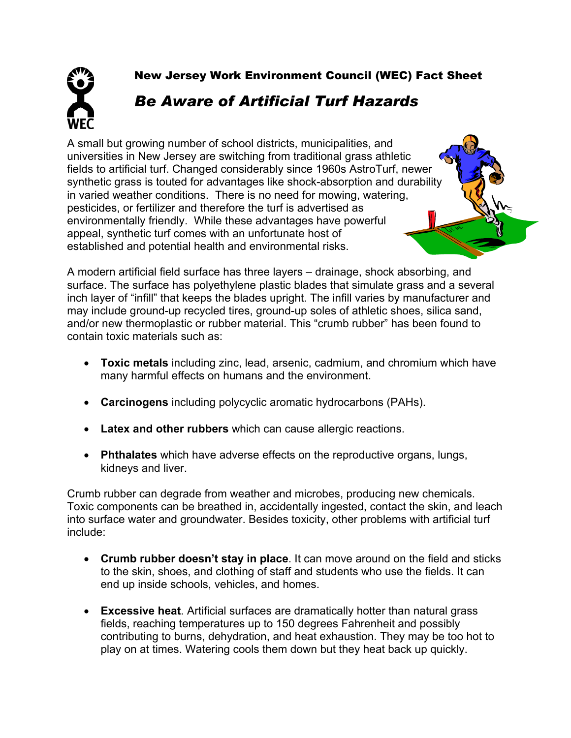New Jersey Work Environment Council (WEC) Fact Sheet

## *Be Aware of Artificial Turf Hazards*

A small but growing number of school districts, municipalities, and universities in New Jersey are switching from traditional grass athletic fields to artificial turf. Changed considerably since 1960s AstroTurf, newer synthetic grass is touted for advantages like shock-absorption and durability in varied weather conditions. There is no need for mowing, watering, pesticides, or fertilizer and therefore the turf is advertised as environmentally friendly. While these advantages have powerful appeal, synthetic turf comes with an unfortunate host of established and potential health and environmental risks.



A modern artificial field surface has three layers – drainage, shock absorbing, and surface. The surface has polyethylene plastic blades that simulate grass and a several inch layer of "infill" that keeps the blades upright. The infill varies by manufacturer and may include ground-up recycled tires, ground-up soles of athletic shoes, silica sand, and/or new thermoplastic or rubber material. This "crumb rubber" has been found to contain toxic materials such as:

- **Toxic metals** including zinc, lead, arsenic, cadmium, and chromium which have many harmful effects on humans and the environment.
- **Carcinogens** including polycyclic aromatic hydrocarbons (PAHs).
- **Latex and other rubbers** which can cause allergic reactions.
- **Phthalates** which have adverse effects on the reproductive organs, lungs, kidneys and liver.

Crumb rubber can degrade from weather and microbes, producing new chemicals. Toxic components can be breathed in, accidentally ingested, contact the skin, and leach into surface water and groundwater. Besides toxicity, other problems with artificial turf include:

- **Crumb rubber doesn't stay in place**. It can move around on the field and sticks to the skin, shoes, and clothing of staff and students who use the fields. It can end up inside schools, vehicles, and homes.
- **Excessive heat**. Artificial surfaces are dramatically hotter than natural grass fields, reaching temperatures up to 150 degrees Fahrenheit and possibly contributing to burns, dehydration, and heat exhaustion. They may be too hot to play on at times. Watering cools them down but they heat back up quickly.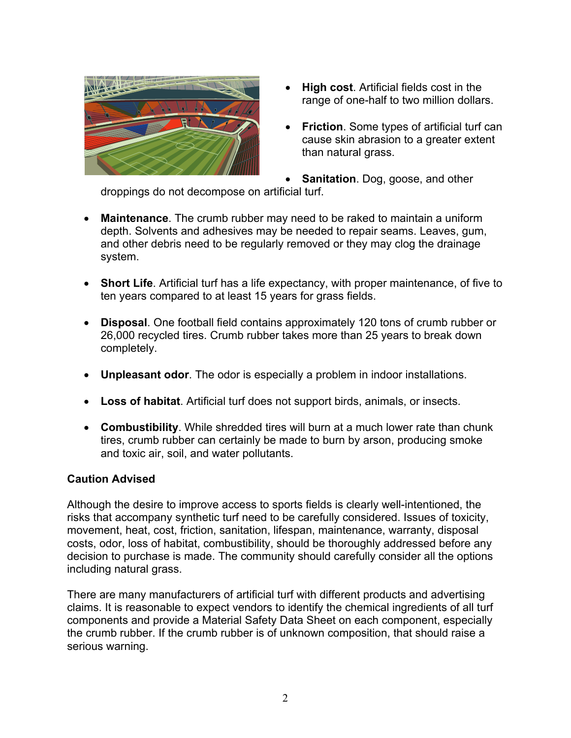

- **High cost**. Artificial fields cost in the range of one-half to two million dollars.
- **Friction**. Some types of artificial turf can cause skin abrasion to a greater extent than natural grass.
- **Sanitation**. Dog, goose, and other

droppings do not decompose on artificial turf.

- **Maintenance**. The crumb rubber may need to be raked to maintain a uniform depth. Solvents and adhesives may be needed to repair seams. Leaves, gum, and other debris need to be regularly removed or they may clog the drainage system.
- **Short Life**. Artificial turf has a life expectancy, with proper maintenance, of five to ten years compared to at least 15 years for grass fields.
- **Disposal**. One football field contains approximately 120 tons of crumb rubber or 26,000 recycled tires. Crumb rubber takes more than 25 years to break down completely.
- **Unpleasant odor**. The odor is especially a problem in indoor installations.
- **Loss of habitat**. Artificial turf does not support birds, animals, or insects.
- **Combustibility**. While shredded tires will burn at a much lower rate than chunk tires, crumb rubber can certainly be made to burn by arson, producing smoke and toxic air, soil, and water pollutants.

## **Caution Advised**

Although the desire to improve access to sports fields is clearly well-intentioned, the risks that accompany synthetic turf need to be carefully considered. Issues of toxicity, movement, heat, cost, friction, sanitation, lifespan, maintenance, warranty, disposal costs, odor, loss of habitat, combustibility, should be thoroughly addressed before any decision to purchase is made. The community should carefully consider all the options including natural grass.

There are many manufacturers of artificial turf with different products and advertising claims. It is reasonable to expect vendors to identify the chemical ingredients of all turf components and provide a Material Safety Data Sheet on each component, especially the crumb rubber. If the crumb rubber is of unknown composition, that should raise a serious warning.